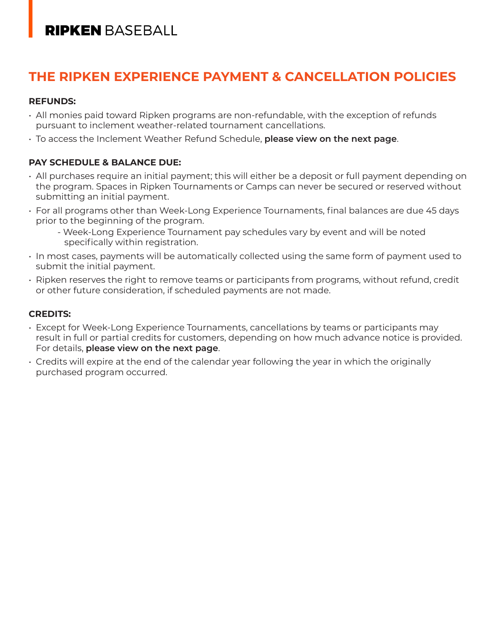# **RIPKEN BASEBALL**

# **THE RIPKEN EXPERIENCE PAYMENT & CANCELLATION POLICIES**

#### **REFUNDS:**

- All monies paid toward Ripken programs are non-refundable, with the exception of refunds pursuant to inclement weather-related tournament cancellations.
- To access the Inclement Weather Refund Schedule, **please view on the next page**.

### **PAY SCHEDULE & BALANCE DUE:**

- All purchases require an initial payment; this will either be a deposit or full payment depending on the program. Spaces in Ripken Tournaments or Camps can never be secured or reserved without submitting an initial payment.
- For all programs other than Week-Long Experience Tournaments, final balances are due 45 days prior to the beginning of the program.
	- Week-Long Experience Tournament pay schedules vary by event and will be noted specifically within registration.
- In most cases, payments will be automatically collected using the same form of payment used to submit the initial payment.
- Ripken reserves the right to remove teams or participants from programs, without refund, credit or other future consideration, if scheduled payments are not made.

### **CREDITS:**

- Except for Week-Long Experience Tournaments, cancellations by teams or participants may result in full or partial credits for customers, depending on how much advance notice is provided. For details, **please view on the next page**.
- Credits will expire at the end of the calendar year following the year in which the originally purchased program occurred.